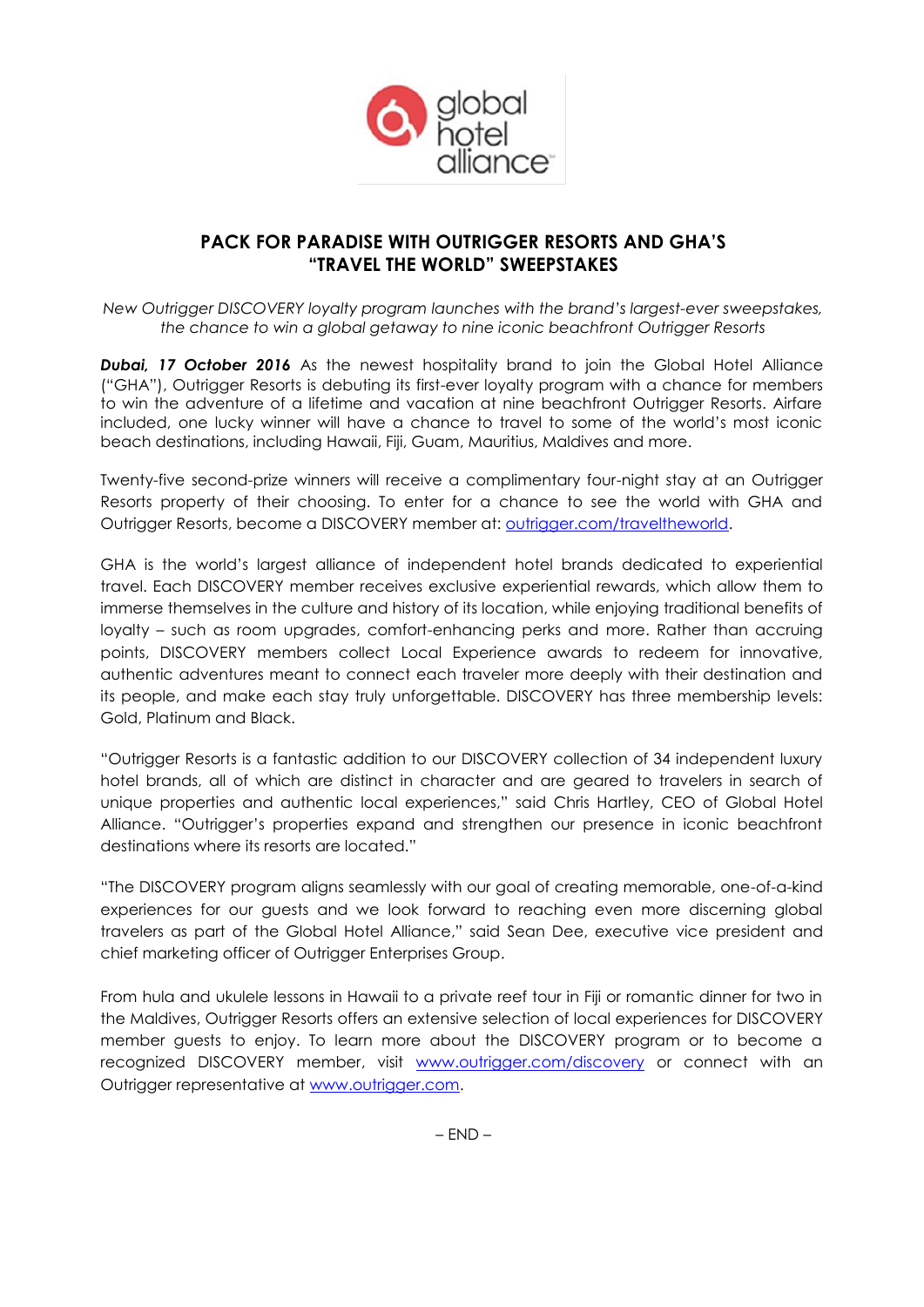

# **PACK FOR PARADISE WITH OUTRIGGER RESORTS AND GHA'S "TRAVEL THE WORLD" SWEEPSTAKES**

*New Outrigger DISCOVERY loyalty program launches with the brand's largest-ever sweepstakes, the chance to win a global getaway to nine iconic beachfront Outrigger Resorts* 

*Dubai, 17 October 2016* As the newest hospitality brand to join the Global Hotel Alliance ("GHA"), Outrigger Resorts is debuting its first-ever loyalty program with a chance for members to win the adventure of a lifetime and vacation at nine beachfront Outrigger Resorts. Airfare included, one lucky winner will have a chance to travel to some of the world's most iconic beach destinations, including Hawaii, Fiji, Guam, Mauritius, Maldives and more.

Twenty-five second-prize winners will receive a complimentary four-night stay at an Outrigger Resorts property of their choosing. To enter for a chance to see the world with GHA and Outrigger Resorts, become a DISCOVERY member at: [outrigger.com/traveltheworld.](http://www.outrigger.com/traveltheworld)

GHA is the world's largest alliance of independent hotel brands dedicated to experiential travel. Each DISCOVERY member receives exclusive experiential rewards, which allow them to immerse themselves in the culture and history of its location, while enjoying traditional benefits of loyalty – such as room upgrades, comfort-enhancing perks and more. Rather than accruing points, DISCOVERY members collect Local Experience awards to redeem for innovative, authentic adventures meant to connect each traveler more deeply with their destination and its people, and make each stay truly unforgettable. DISCOVERY has three membership levels: Gold, Platinum and Black.

"Outrigger Resorts is a fantastic addition to our DISCOVERY collection of 34 independent luxury hotel brands, all of which are distinct in character and are geared to travelers in search of unique properties and authentic local experiences," said Chris Hartley, CEO of Global Hotel Alliance. "Outrigger's properties expand and strengthen our presence in iconic beachfront destinations where its resorts are located."

"The DISCOVERY program aligns seamlessly with our goal of creating memorable, one-of-a-kind experiences for our guests and we look forward to reaching even more discerning global travelers as part of the Global Hotel Alliance," said Sean Dee, executive vice president and chief marketing officer of Outrigger Enterprises Group.

From hula and ukulele lessons in Hawaii to a private reef tour in Fiji or romantic dinner for two in the Maldives, Outrigger Resorts offers an extensive selection of local experiences for DISCOVERY member guests to enjoy. To learn more about the DISCOVERY program or to become a recognized DISCOVERY member, visit [www.outrigger.com/discovery](http://www.outrigger.com/discovery) or connect with an Outrigger representative at [www.outrigger.com.](http://www.outrigger.com/)